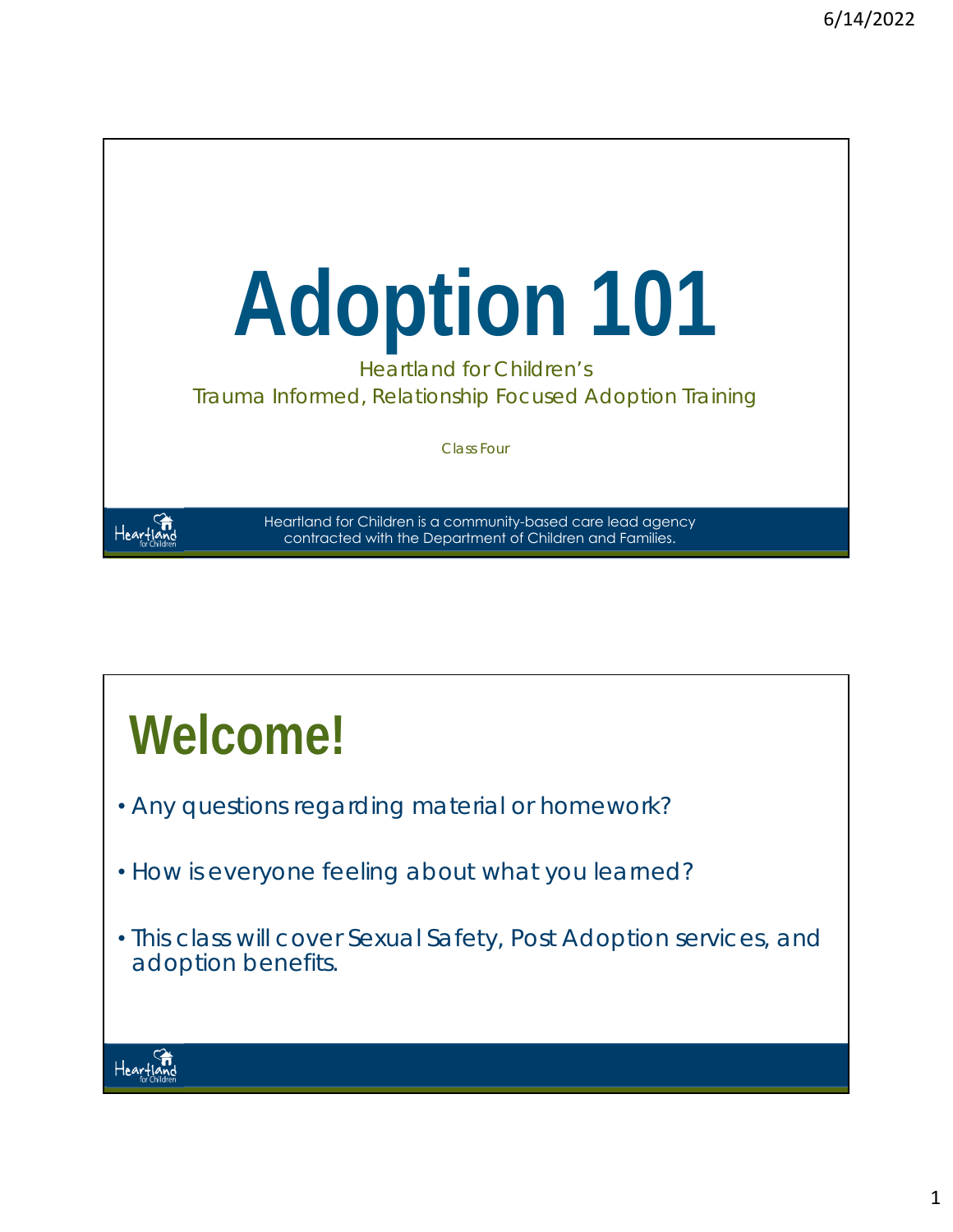

# **Welcome!**

- Any questions regarding material or homework?
- How is everyone feeling about what you learned?
- This class will cover Sexual Safety, Post Adoption services, and adoption benefits.

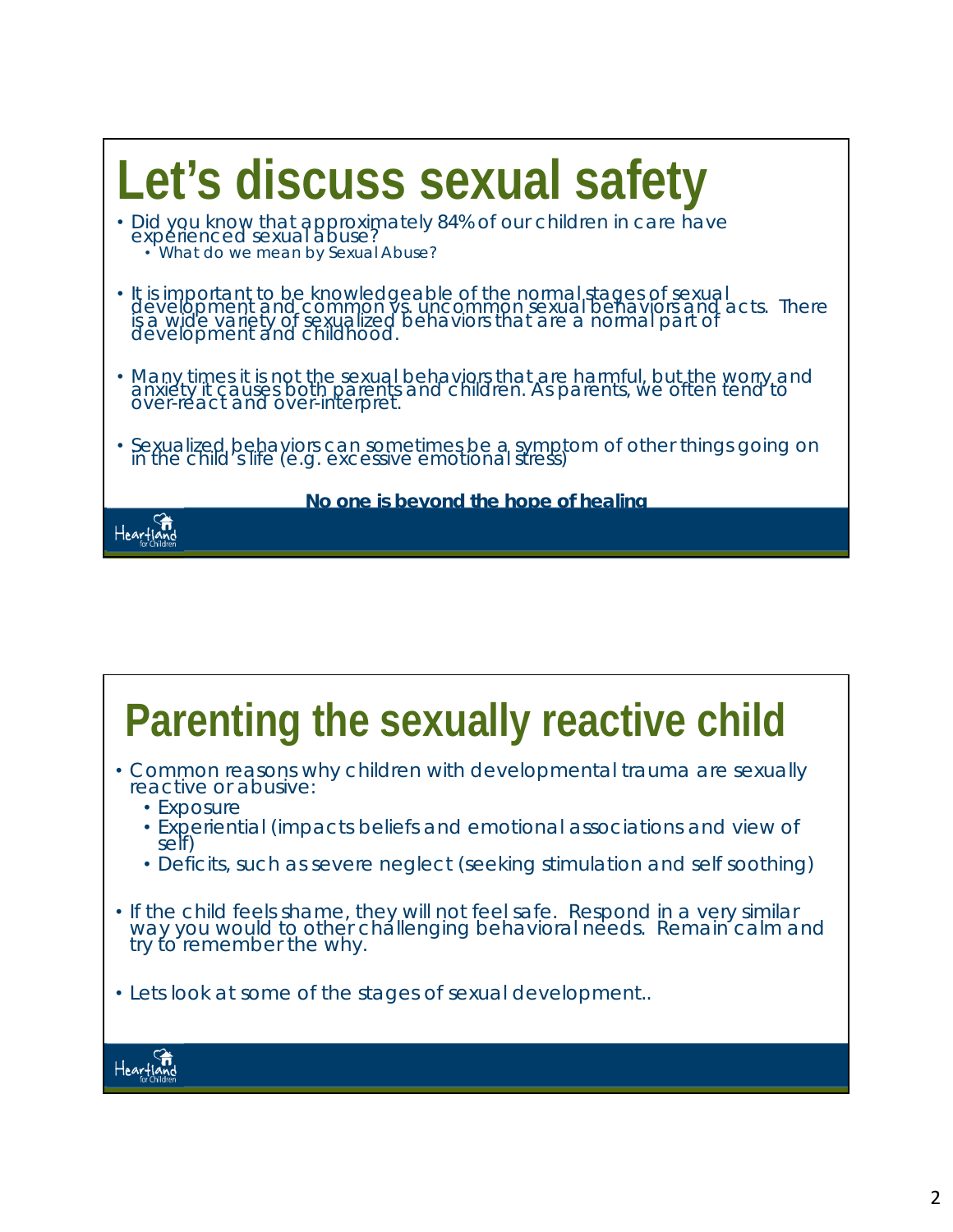

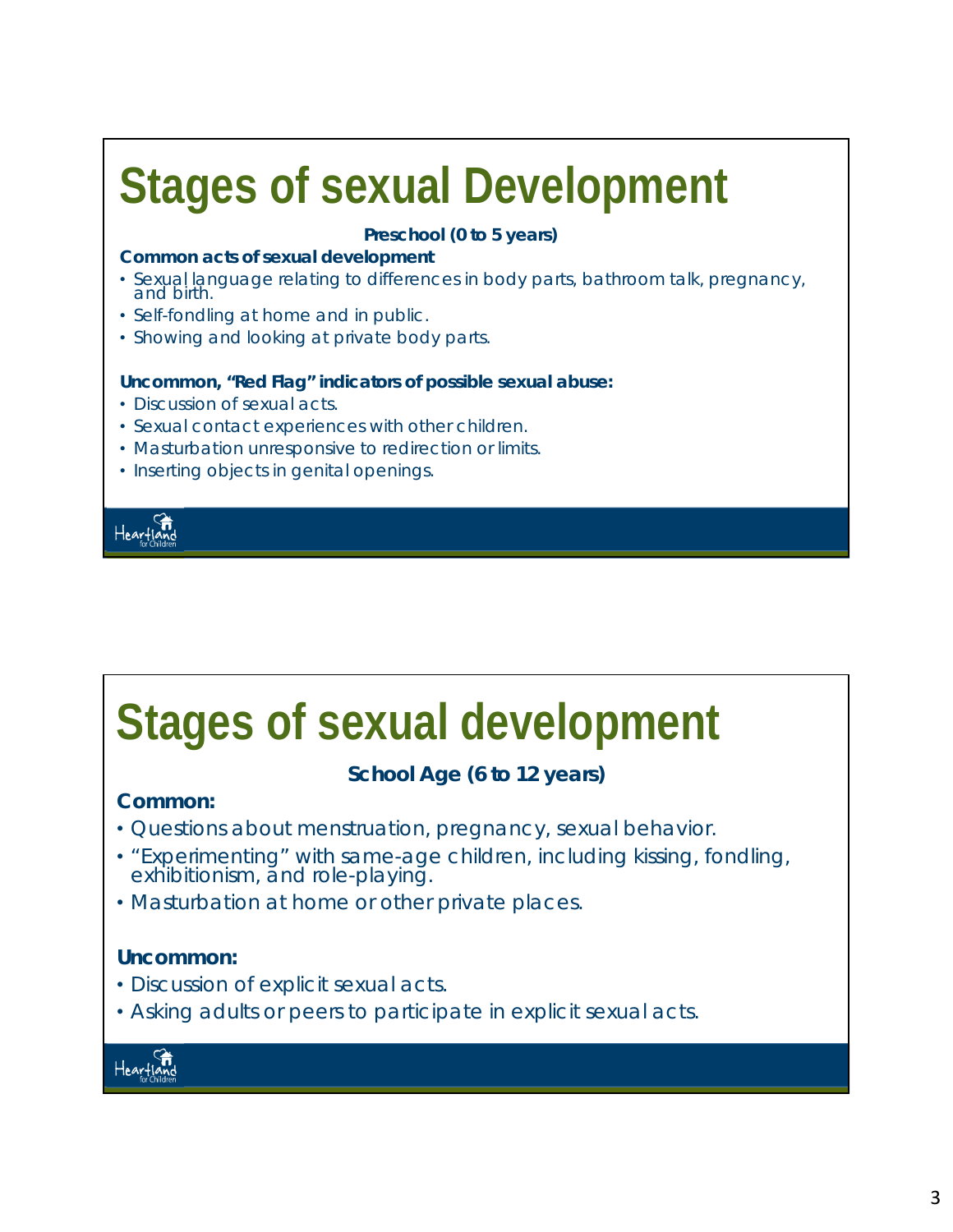## **Stages of sexual Development**

### **Preschool (0 to 5 years)**

### **Common acts of sexual development**

- Sexual language relating to differences in body parts, bathroom talk, pregnancy, and birth.
- Self-fondling at home and in public.
- Showing and looking at private body parts.

### **Uncommon, "Red Flag" indicators of possible sexual abuse:**

- Discussion of sexual acts.
- Sexual contact experiences with other children.
- Masturbation unresponsive to redirection or limits.
- Inserting objects in genital openings.



## **Stages of sexual development**

### **School Age (6 to 12 years)**

### **Common:**

- Questions about menstruation, pregnancy, sexual behavior.
- "Experimenting" with same-age children, including kissing, fondling, exhibitionism, and role-playing.
- Masturbation at home or other private places.

### **Uncommon:**

- Discussion of explicit sexual acts.
- Asking adults or peers to participate in explicit sexual acts.

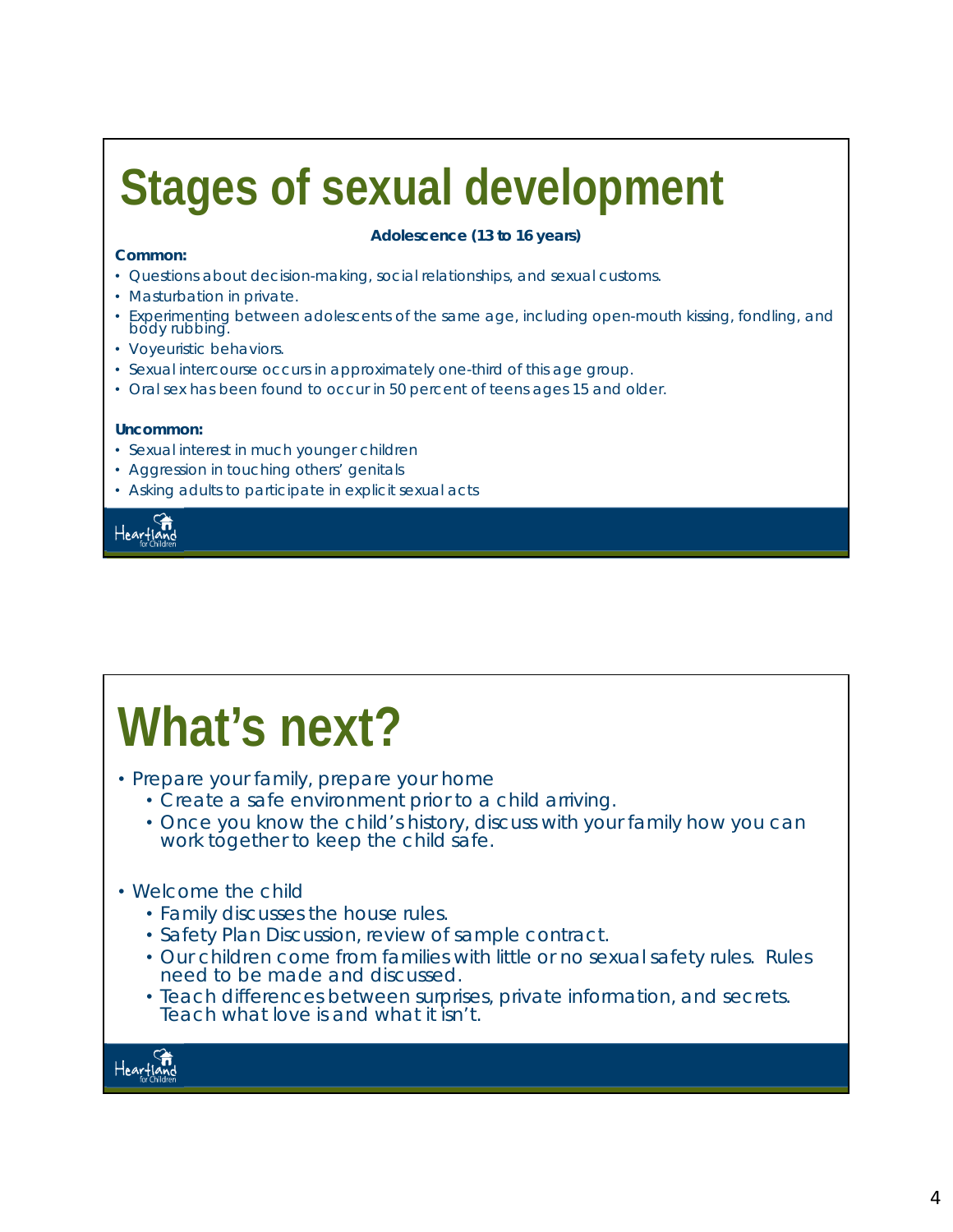# **Stages of sexual development**

#### **Common:**

#### **Adolescence (13 to 16 years)**

- Questions about decision-making, social relationships, and sexual customs.
- Masturbation in private.
- Experimenting between adolescents of the same age, including open-mouth kissing, fondling, and body rubbing.
- Voyeuristic behaviors.
- Sexual intercourse occurs in approximately one-third of this age group.
- Oral sex has been found to occur in 50 percent of teens ages 15 and older.

#### **Uncommon:**

- Sexual interest in much younger children
- Aggression in touching others' genitals
- Asking adults to participate in explicit sexual acts



# **What's next?**

- Prepare your family, prepare your home
	- Create a safe environment prior to a child arriving.
	- Once you know the child's history, discuss with your family how you can work together to keep the child safe.

### • Welcome the child

- Family discusses the house rules.
- Safety Plan Discussion, review of sample contract.
- Our children come from families with little or no sexual safety rules. Rules need to be made and discussed.
- Teach differences between surprises, private information, and secrets. Teach what love is and what it isn't.

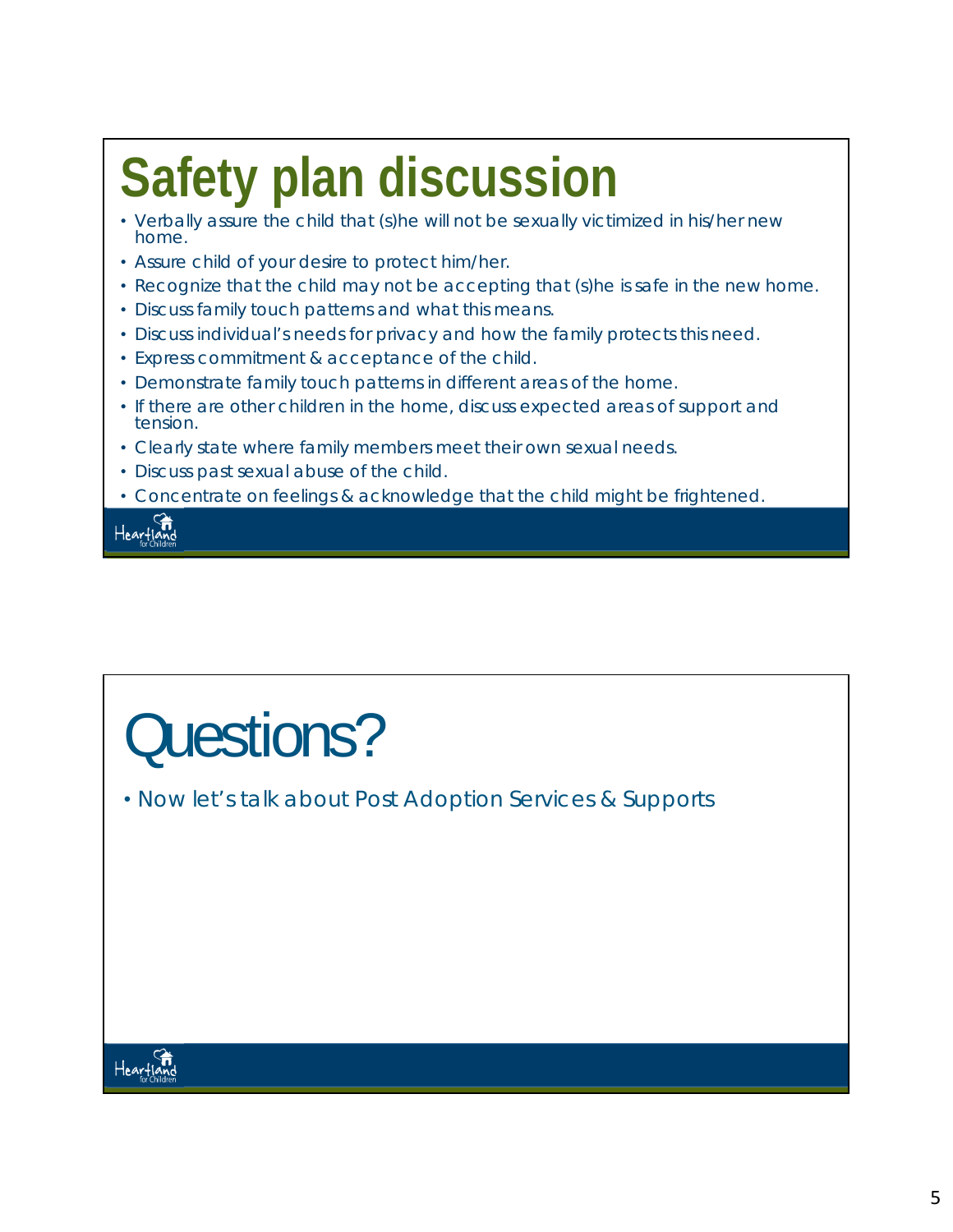# **Safety plan discussion**

- Verbally assure the child that (s)he will not be sexually victimized in his/her new home.
- Assure child of your desire to protect him/her.
- Recognize that the child may not be accepting that (s)he is safe in the new home.
- Discuss family touch patterns and what this means.
- Discuss individual's needs for privacy and how the family protects this need.
- Express commitment & acceptance of the child.
- Demonstrate family touch patterns in different areas of the home.
- If there are other children in the home, discuss expected areas of support and tension.
- Clearly state where family members meet their own sexual needs.
- Discuss past sexual abuse of the child.
- Concentrate on feelings & acknowledge that the child might be frightened.

fi<br>teartiand

# Questions?

• Now let's talk about Post Adoption Services & Supports

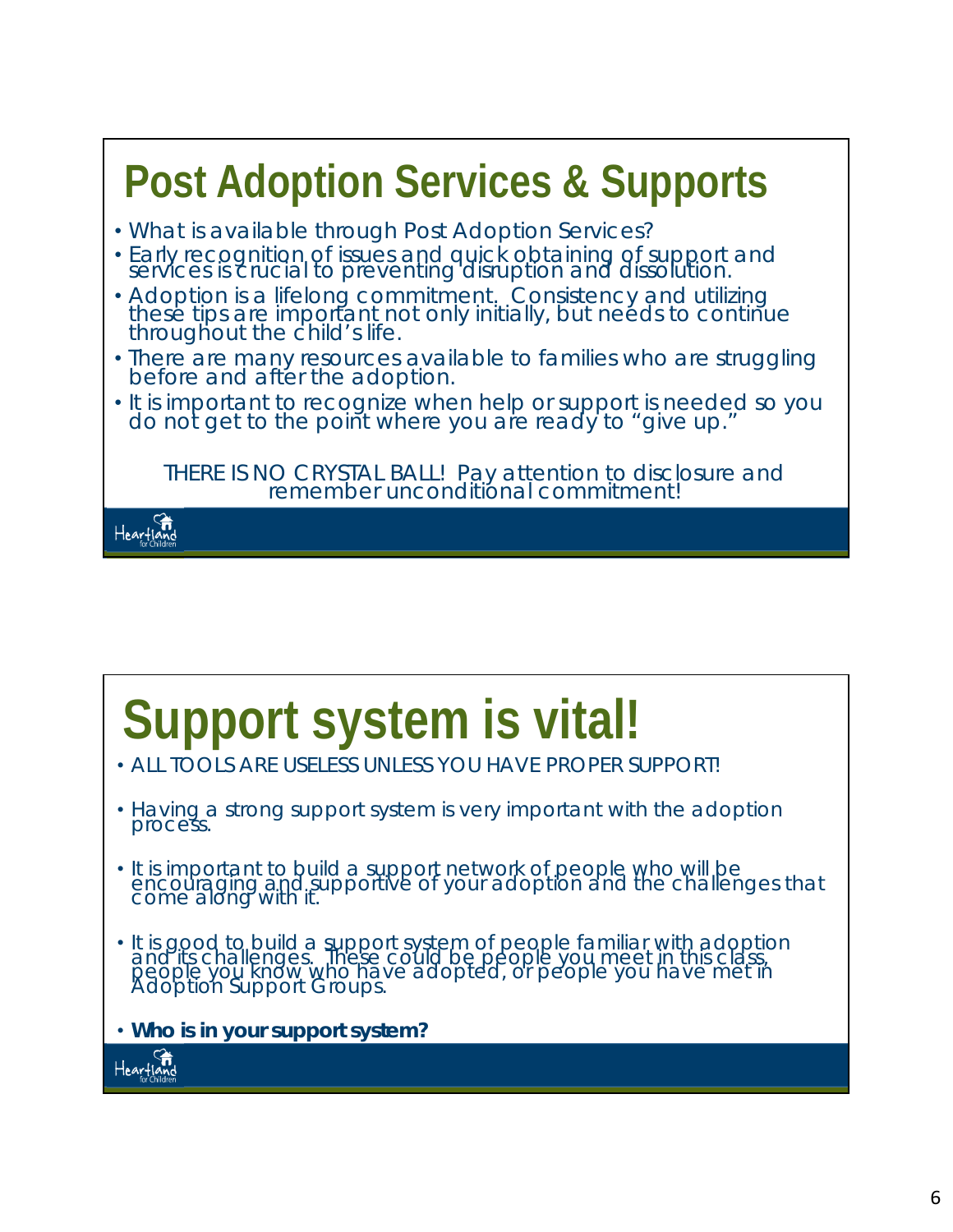## **Post Adoption Services & Supports** • What is available through Post Adoption Services? • Early recognition of issues and quick obtaining of support and

- services is crucial to preventing disruption and dissolution. • Adoption is a lifelong commitment. Consistency and utilizing<br>these tips are important not only initially, but needs to continue throughout the child's life.
- There are many resources available to families who are struggling before and after the adoption.
- It is important to recognize when help or support is needed so you do not get to the point where you are ready to "give up."

*THERE IS NO CRYSTAL BALL! Pay attention to disclosure and remember unconditional commitment!* 



## **Support system is vital!**

- ALL TOOLS ARE USELESS UNLESS YOU HAVE PROPER SUPPORT!
- Having a strong support system is very important with the adoption process.
- It is important to build a support network of people who will be encouraging and supportive of your adoption and the challenges that come along with it.
- It is good to build a support system of people familiar with adoption and its challenges. These could be people you meet in this class, people you know who have adopted, or people you have met in Adoption Support Groups.
- *Who is in your support system?*

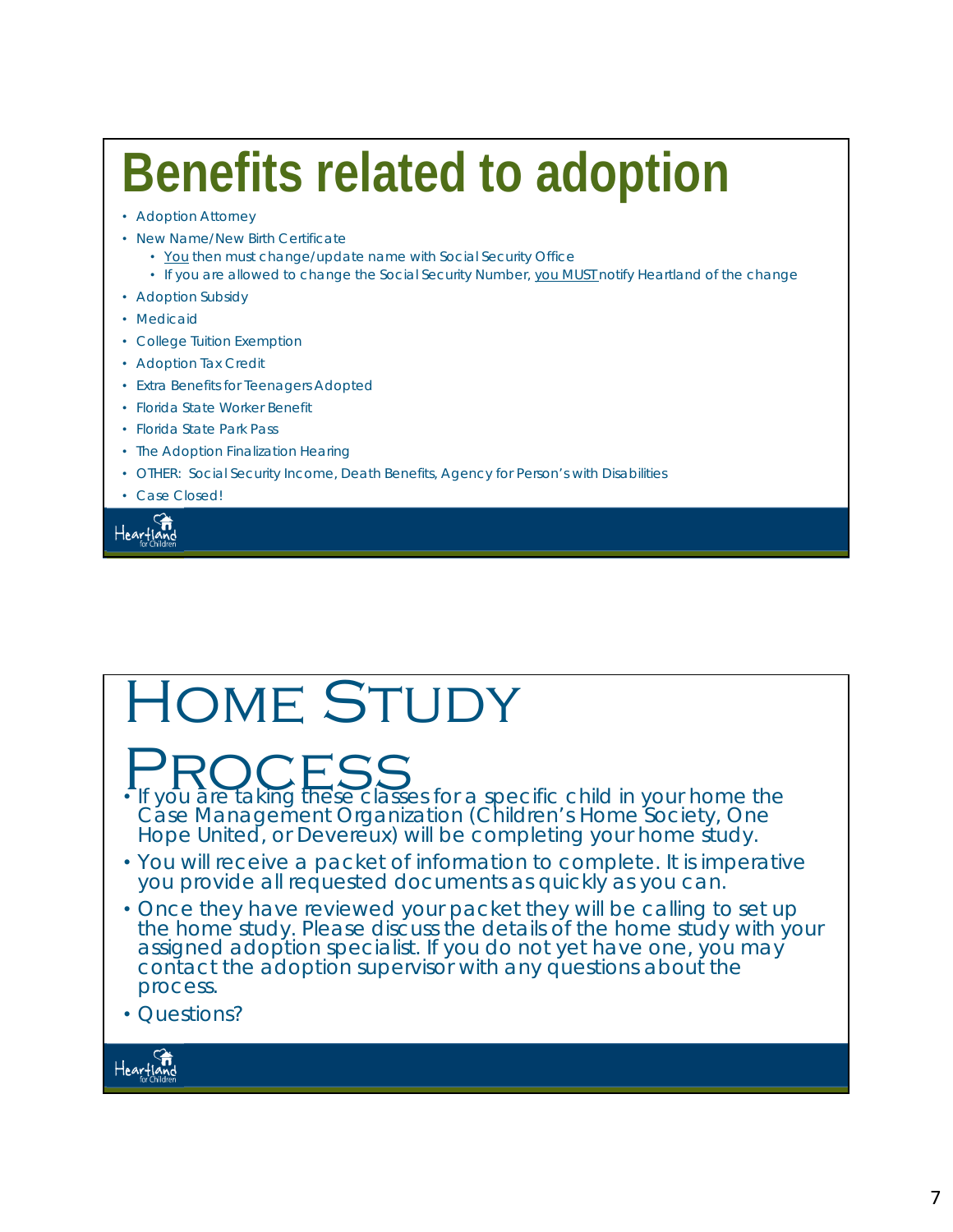# **Benefits related to adoption**

- Adoption Attorney
- New Name/New Birth Certificate
	- You then must change/update name with Social Security Office
	- If you are allowed to change the Social Security Number, you MUST notify Heartland of the change
- Adoption Subsidy
- Medicaid
- College Tuition Exemption
- Adoption Tax Credit
- Extra Benefits for Teenagers Adopted
- Florida State Worker Benefit
- Florida State Park Pass
- The Adoption Finalization Hearing
- OTHER: Social Security Income, Death Benefits, Agency for Person's with Disabilities
- Case Closed!

Heartland

## Home Study

**PROCESS**<br>• If you are taking these classes for a specific child in your home the

Case Management Organization (Children's Home Society, One<br>Hope United, or Devereux) will be completing your home study.

- You will receive a packet of information to complete. It is imperative you provide all requested documents as quickly as you can.
- Once they have reviewed your packet they will be calling to set up the home study. Please discuss the details of the home study with your assigned adoption specialist. If you do not yet have one, you may contact the adoption supervisor with any questions about the process.
- Questions?

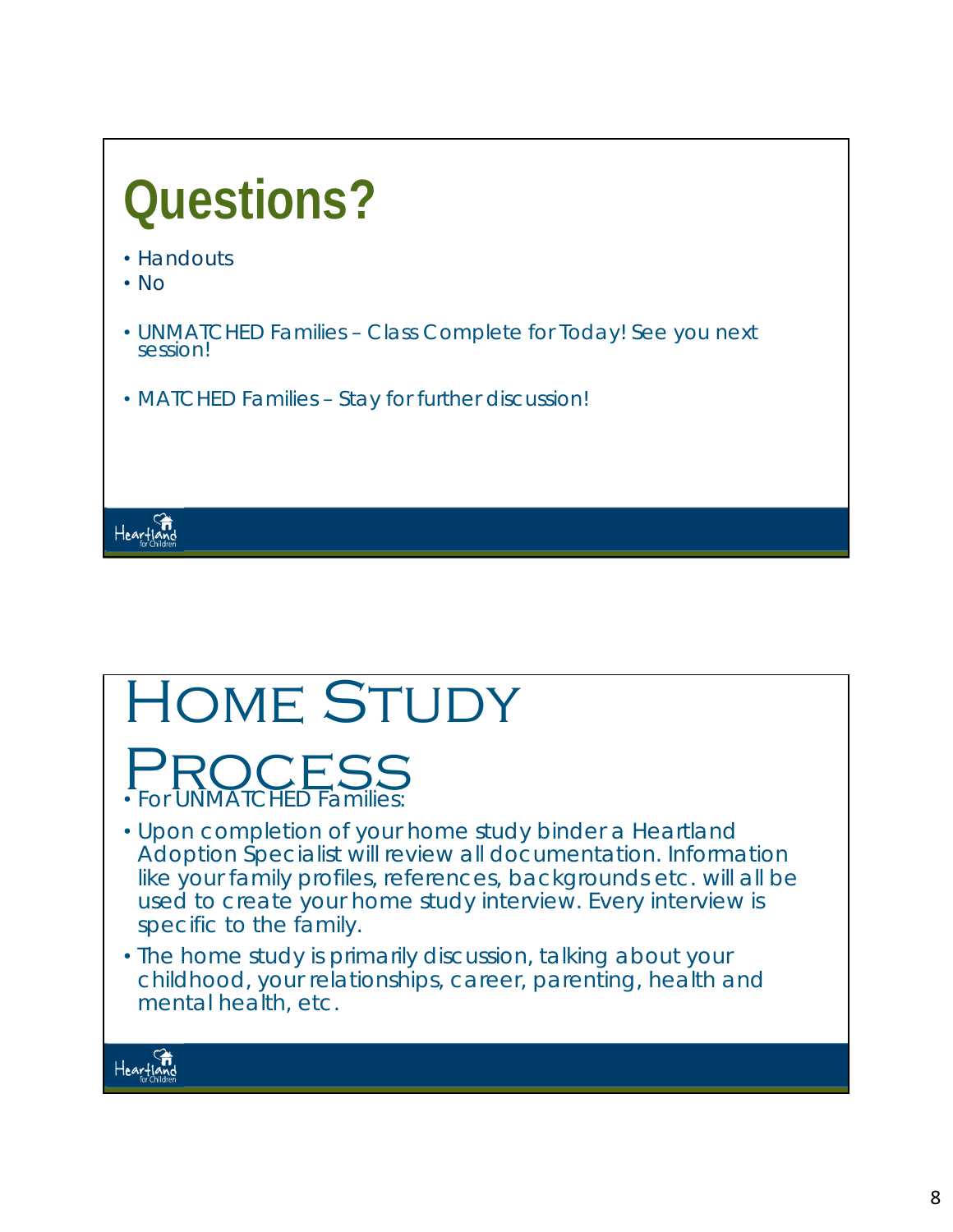

## HOME STUDY PROCESS<br>• For UNMATCHED Families: • Upon completion of your home study binder a Heartland Adoption Specialist will review all documentation. Information like your family profiles, references, backgrounds etc. will all be used to create your home study interview. Every interview is specific to the family.

• The home study is primarily discussion, talking about your childhood, your relationships, career, parenting, health and mental health, etc.

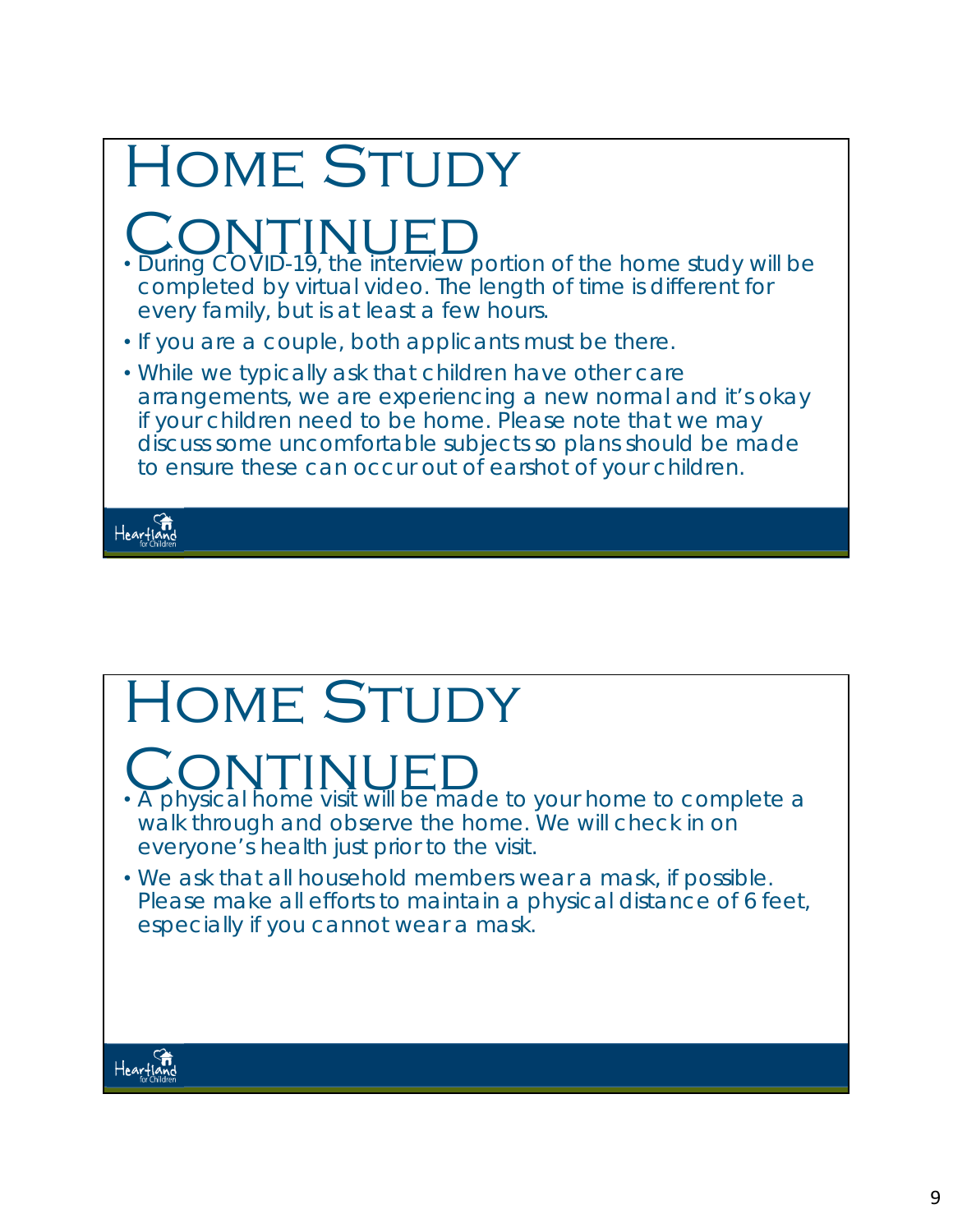| <b>HOME STUDY</b>                                                                                                                                                                                                                                                                                                |
|------------------------------------------------------------------------------------------------------------------------------------------------------------------------------------------------------------------------------------------------------------------------------------------------------------------|
| . During COVID-19, the interview portion of the home study will be<br>completed by virtual video. The length of time is different for<br>every family, but is at least a few hours.                                                                                                                              |
| . If you are a couple, both applicants must be there.                                                                                                                                                                                                                                                            |
| . While we typically ask that children have other care<br>arrangements, we are experiencing a new normal and it's okay<br>if your children need to be home. Please note that we may<br>discuss some uncomfortable subjects so plans should be made<br>to ensure these can occur out of earshot of your children. |
|                                                                                                                                                                                                                                                                                                                  |

# HOME STUDY

# **CONTINUED**<br>• A physical home visit will be made to your home to complete a

- walk through and observe the home. We will check in on everyone's health just prior to the visit.
- We ask that all household members wear a mask, if possible. Please make all efforts to maintain a physical distance of 6 feet, especially if you cannot wear a mask.

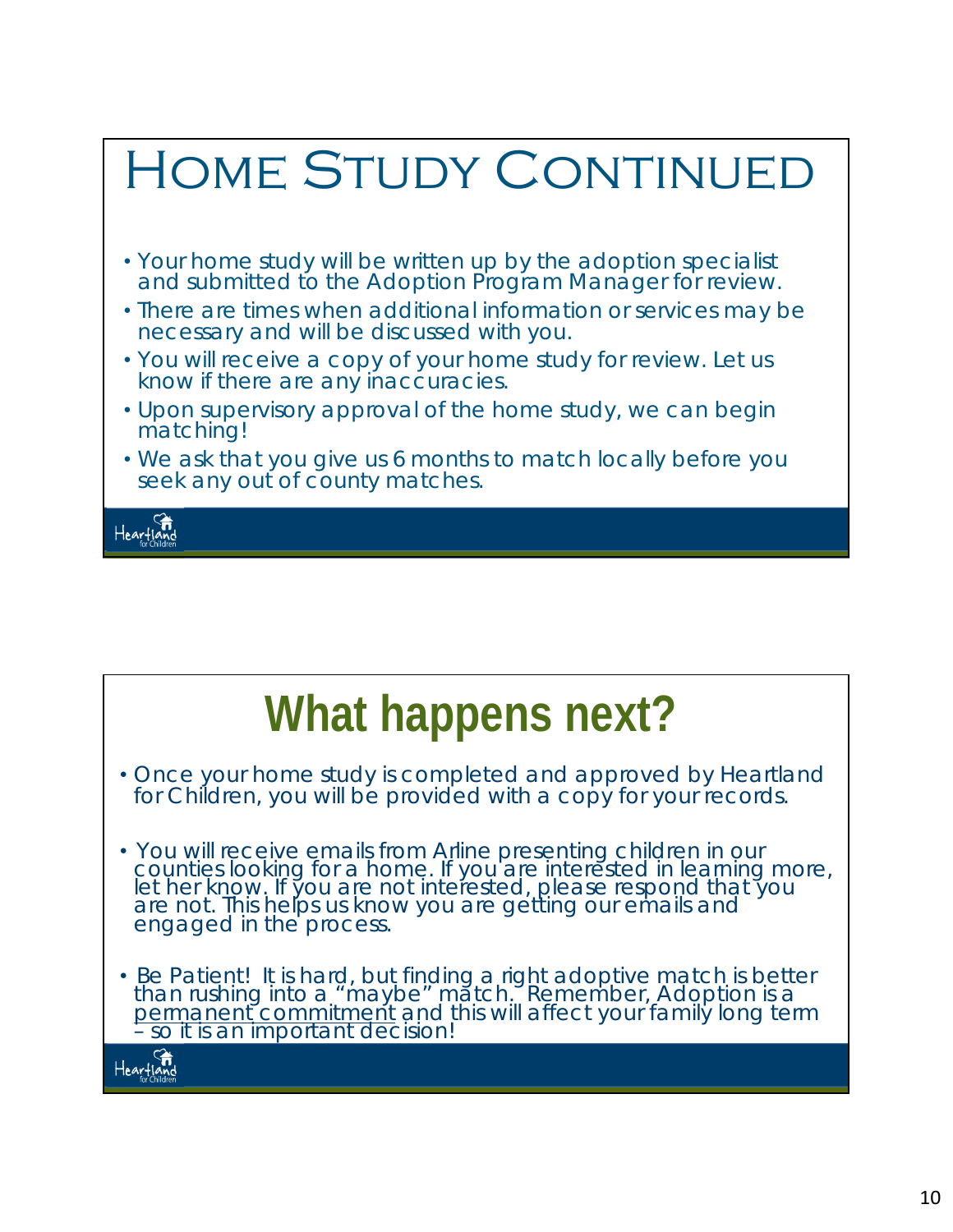

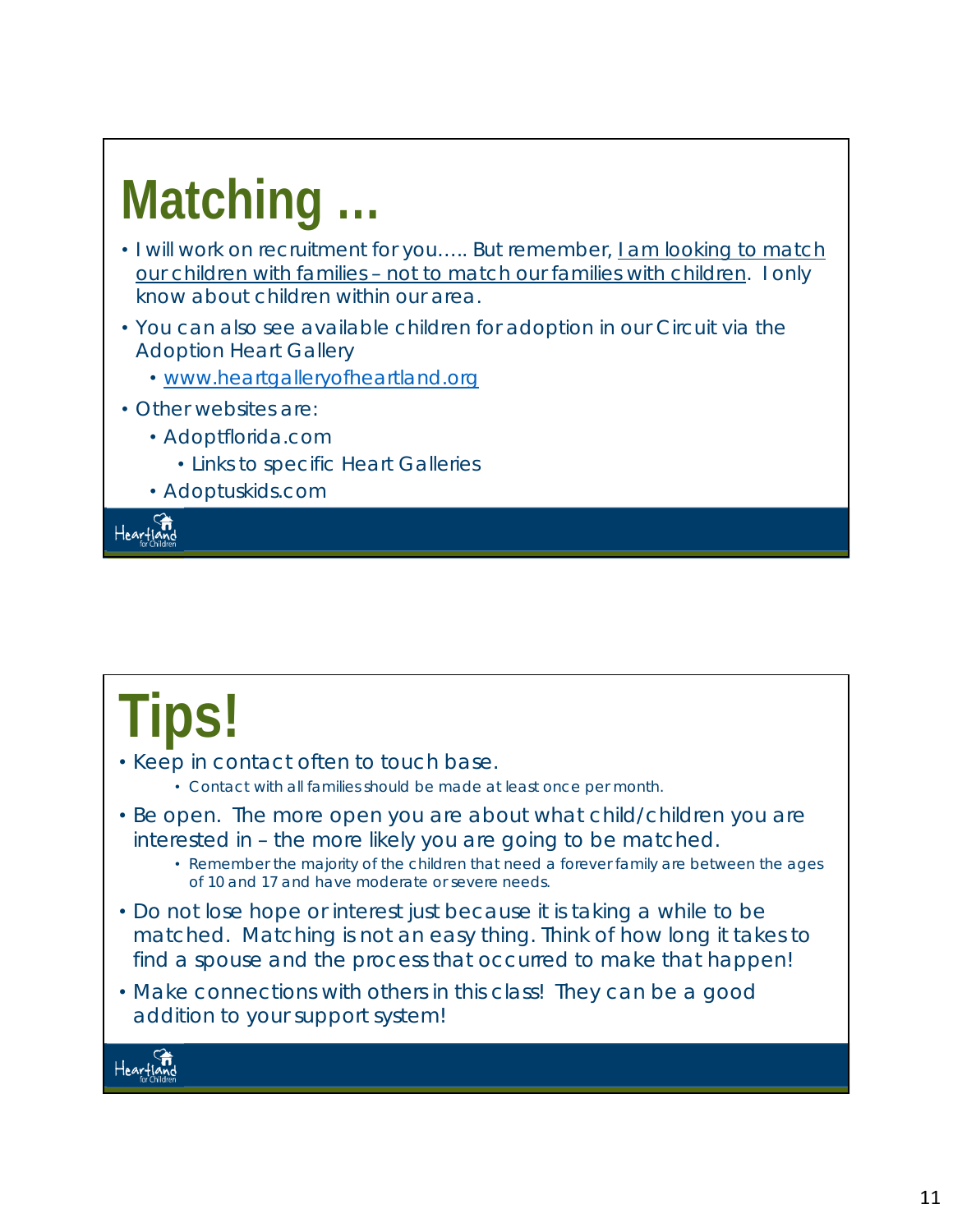# **Matching …**

- I will work on recruitment for you….. But remember, *I am looking to match our children with families – not to match our families with children.* I only know about children within our area.
- You can also see available children for adoption in our Circuit via the Adoption Heart Gallery
	- www.heartgalleryofheartland.org
- Other websites are:
	- Adoptflorida.com
		- Links to specific Heart Galleries
	- Adoptuskids.com

Heartland

# **Tips!**

- Keep in contact often to touch base.
	- Contact with all families should be made at least once per month.
- *Be open*. The more open you are about what child/children you are interested in – the more likely you are going to be matched.
	- Remember the majority of the children that need a forever family are between the ages of 10 and 17 and have moderate or severe needs.
- Do not lose hope or interest just because it is taking a while to be matched. Matching is not an easy thing. Think of how long it takes to find a spouse and the process that occurred to make that happen!
- Make connections with others in this class! They can be a good addition to your support system!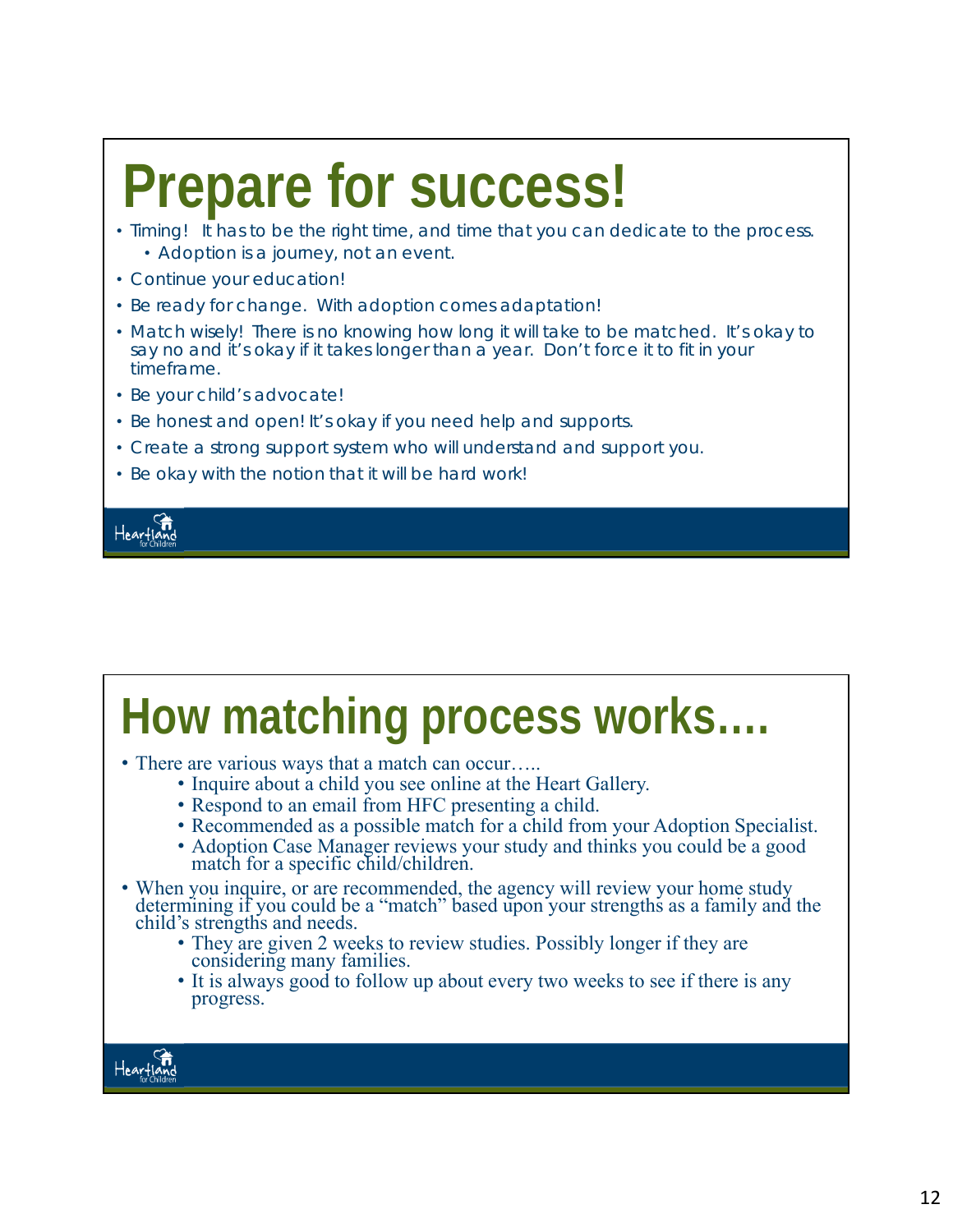# **Prepare for success!**

- Timing! It has to be the right time, and time that you can dedicate to the process. • Adoption is a journey, not an event.
- Continue your education!
- Be ready for change. With adoption comes adaptation!
- Match wisely! There is no knowing how long it will take to be matched. It's okay to say no and it's okay if it takes longer than a year. Don't force it to fit in your timeframe.
- Be your child's advocate!
- Be honest and open! It's okay if you need help and supports.
- Create a strong support system who will understand and support you.
- Be okay with the notion that it will be hard work!



## **How matching process works….**  • There are various ways that a match can occur….. • Inquire about a child you see online at the Heart Gallery. • Respond to an email from HFC presenting a child. • Recommended as a possible match for a child from your Adoption Specialist. • Adoption Case Manager reviews your study and thinks you could be a good match for a specific child/children. • When you inquire, or are recommended, the agency will review your home study determining if you could be a "match" based upon your strengths as a family and the child's strengths and needs. • They are given 2 weeks to review studies. Possibly longer if they are considering many families. • It is always good to follow up about every two weeks to see if there is any progress.Heartig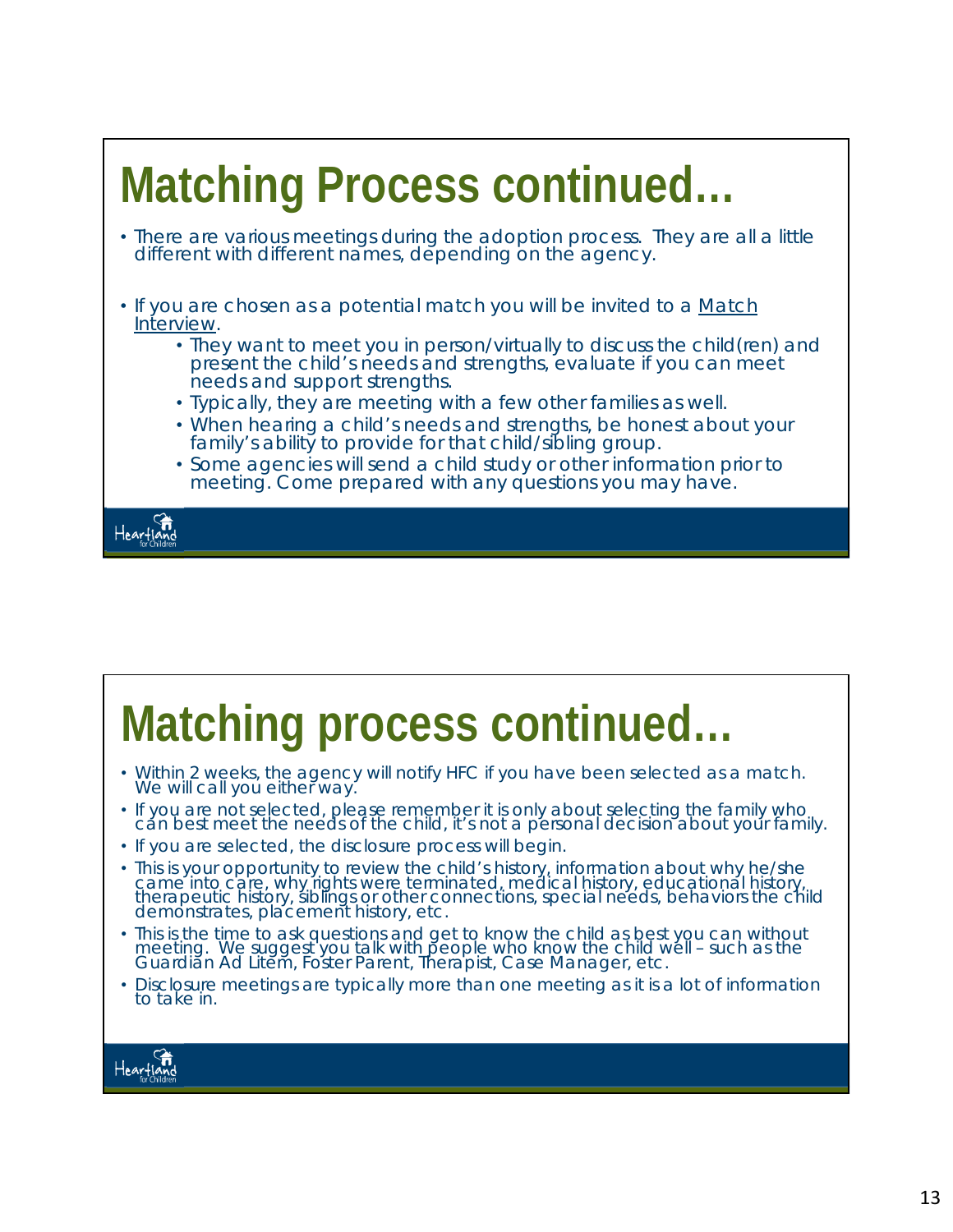

## **Matching process continued…**

- Within 2 weeks, the agency will notify HFC if you have been selected as a match. We will call you either way.
- If you are not selected, please remember it is only about selecting the family who cán best meet the needs of the child, it's not a personal decision about your family.
- If you are selected, the disclosure process will begin.
- This is your opportunity to review the child's history, information about why he/she came into care, why rights were terminated, medical history, educational history, therapeutic history, siblings or other connections, special needs, behaviors the child demonstrates, placement history, etc.
- This is the time to ask questions and get to know the child as best you can without meeting. We suggest you talk with people who know the child well – such as the Guardian Ad Litem, Foster Parent, Therapist, Case Manager, etc.
- Disclosure meetings are typically more than one meeting as it is a lot of information to take in.

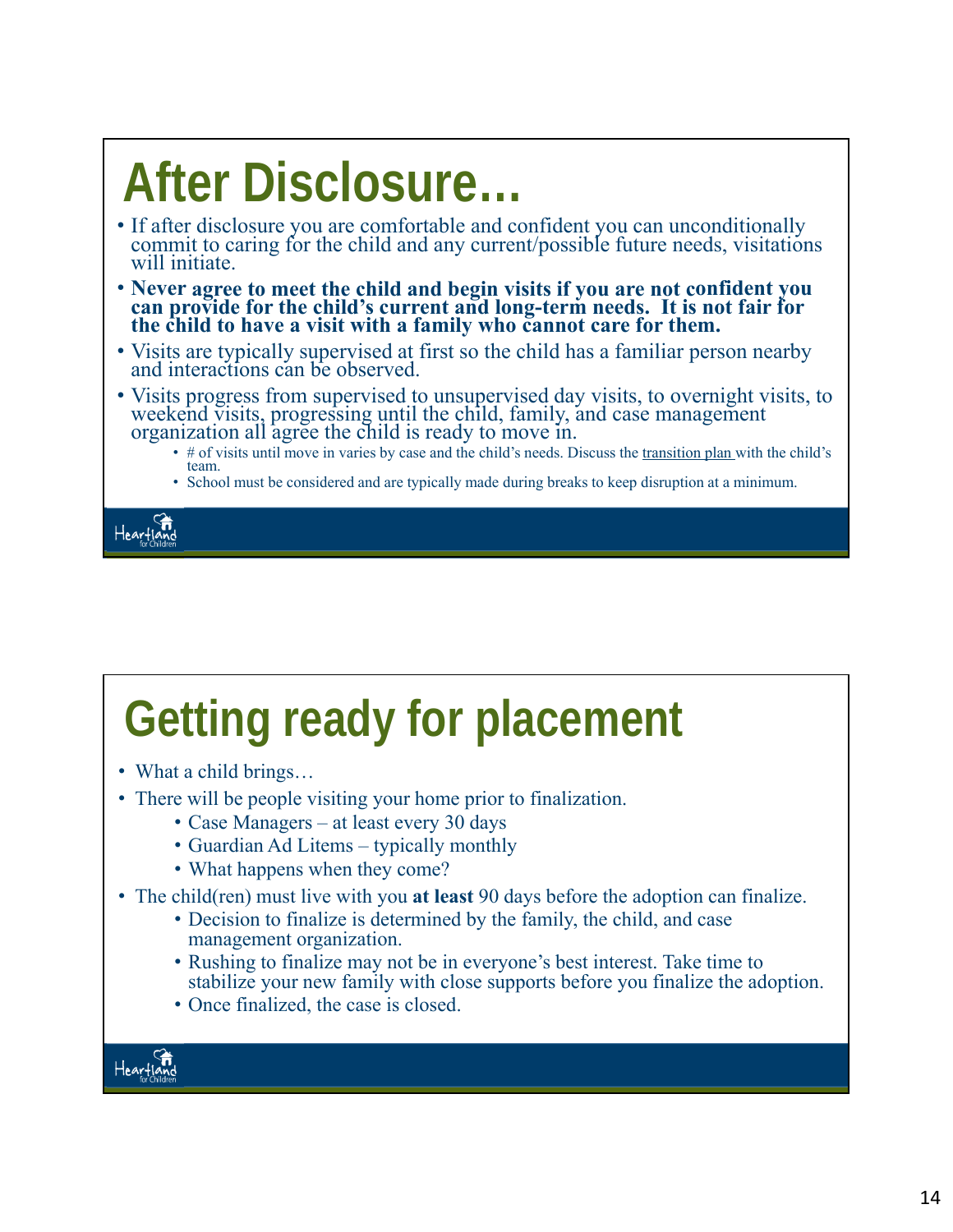# **After Disclosure…**

- If after disclosure you are comfortable and confident you can unconditionally commit to caring for the child and any current/possible future needs, visitations will initiate.
- **Never agree to meet the child and begin visits if you are not confident you can provide for the child's current and long-term needs. It is not fair for the child to have a visit with a family who cannot care for them.**
- Visits are typically supervised at first so the child has a familiar person nearby and interactions can be observed.
- Visits progress from supervised to unsupervised day visits, to overnight visits, to weekend visits, progressing until the child, family, and case management organization all agree the child is ready to move in.
	- # of visits until move in varies by case and the child's needs. Discuss the transition plan with the child's team.
	- School must be considered and are typically made during breaks to keep disruption at a minimum.



## **Getting ready for placement**

- What a child brings...
- There will be people visiting your home prior to finalization.
	- Case Managers at least every 30 days
	- Guardian Ad Litems typically monthly
	- What happens when they come?
- The child(ren) must live with you **at least** 90 days before the adoption can finalize.
	- Decision to finalize is determined by the family, the child, and case management organization.
	- Rushing to finalize may not be in everyone's best interest. Take time to stabilize your new family with close supports before you finalize the adoption.
	- Once finalized, the case is closed.